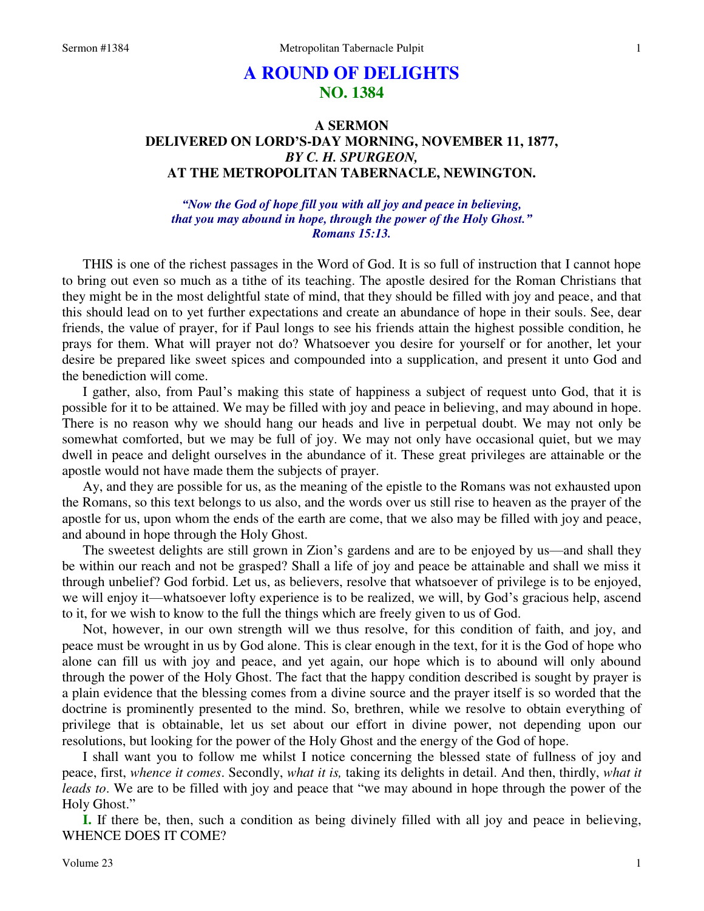# **A ROUND OF DELIGHTS NO. 1384**

## **A SERMON DELIVERED ON LORD'S-DAY MORNING, NOVEMBER 11, 1877,**  *BY C. H. SPURGEON,*  **AT THE METROPOLITAN TABERNACLE, NEWINGTON.**

## *"Now the God of hope fill you with all joy and peace in believing, that you may abound in hope, through the power of the Holy Ghost." Romans 15:13.*

THIS is one of the richest passages in the Word of God. It is so full of instruction that I cannot hope to bring out even so much as a tithe of its teaching. The apostle desired for the Roman Christians that they might be in the most delightful state of mind, that they should be filled with joy and peace, and that this should lead on to yet further expectations and create an abundance of hope in their souls. See, dear friends, the value of prayer, for if Paul longs to see his friends attain the highest possible condition, he prays for them. What will prayer not do? Whatsoever you desire for yourself or for another, let your desire be prepared like sweet spices and compounded into a supplication, and present it unto God and the benediction will come.

I gather, also, from Paul's making this state of happiness a subject of request unto God, that it is possible for it to be attained. We may be filled with joy and peace in believing, and may abound in hope. There is no reason why we should hang our heads and live in perpetual doubt. We may not only be somewhat comforted, but we may be full of joy. We may not only have occasional quiet, but we may dwell in peace and delight ourselves in the abundance of it. These great privileges are attainable or the apostle would not have made them the subjects of prayer.

Ay, and they are possible for us, as the meaning of the epistle to the Romans was not exhausted upon the Romans, so this text belongs to us also, and the words over us still rise to heaven as the prayer of the apostle for us, upon whom the ends of the earth are come, that we also may be filled with joy and peace, and abound in hope through the Holy Ghost.

The sweetest delights are still grown in Zion's gardens and are to be enjoyed by us—and shall they be within our reach and not be grasped? Shall a life of joy and peace be attainable and shall we miss it through unbelief? God forbid. Let us, as believers, resolve that whatsoever of privilege is to be enjoyed, we will enjoy it—whatsoever lofty experience is to be realized, we will, by God's gracious help, ascend to it, for we wish to know to the full the things which are freely given to us of God.

Not, however, in our own strength will we thus resolve, for this condition of faith, and joy, and peace must be wrought in us by God alone. This is clear enough in the text, for it is the God of hope who alone can fill us with joy and peace, and yet again, our hope which is to abound will only abound through the power of the Holy Ghost. The fact that the happy condition described is sought by prayer is a plain evidence that the blessing comes from a divine source and the prayer itself is so worded that the doctrine is prominently presented to the mind. So, brethren, while we resolve to obtain everything of privilege that is obtainable, let us set about our effort in divine power, not depending upon our resolutions, but looking for the power of the Holy Ghost and the energy of the God of hope.

I shall want you to follow me whilst I notice concerning the blessed state of fullness of joy and peace, first, *whence it comes*. Secondly, *what it is,* taking its delights in detail. And then, thirdly, *what it leads to*. We are to be filled with joy and peace that "we may abound in hope through the power of the Holy Ghost."

**I.** If there be, then, such a condition as being divinely filled with all joy and peace in believing, WHENCE DOES IT COME?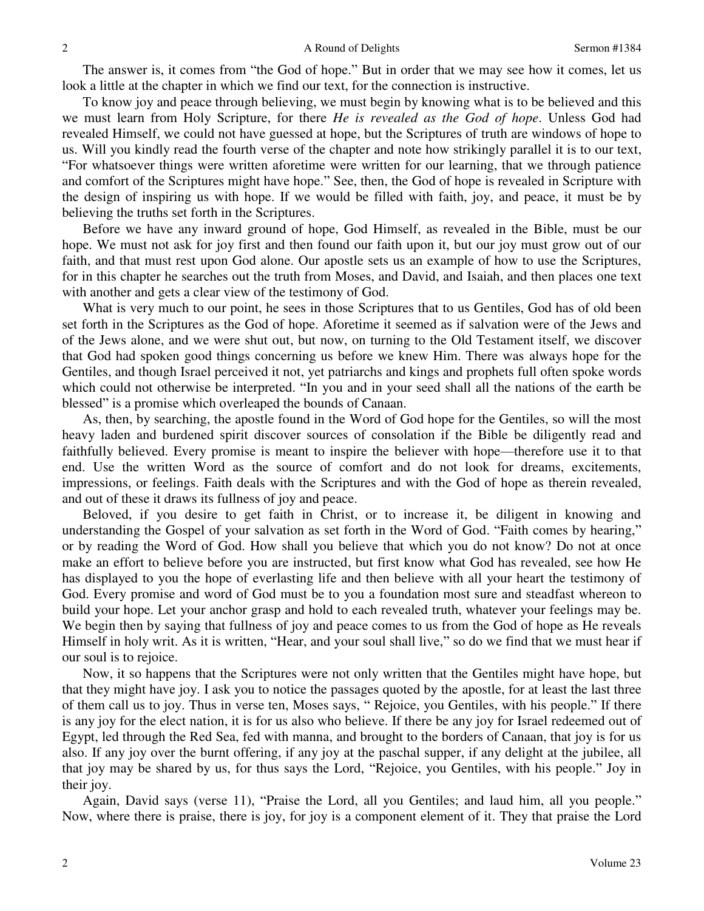The answer is, it comes from "the God of hope." But in order that we may see how it comes, let us look a little at the chapter in which we find our text, for the connection is instructive.

To know joy and peace through believing, we must begin by knowing what is to be believed and this we must learn from Holy Scripture, for there *He is revealed as the God of hope*. Unless God had revealed Himself, we could not have guessed at hope, but the Scriptures of truth are windows of hope to us. Will you kindly read the fourth verse of the chapter and note how strikingly parallel it is to our text, "For whatsoever things were written aforetime were written for our learning, that we through patience and comfort of the Scriptures might have hope." See, then, the God of hope is revealed in Scripture with the design of inspiring us with hope. If we would be filled with faith, joy, and peace, it must be by believing the truths set forth in the Scriptures.

Before we have any inward ground of hope, God Himself, as revealed in the Bible, must be our hope. We must not ask for joy first and then found our faith upon it, but our joy must grow out of our faith, and that must rest upon God alone. Our apostle sets us an example of how to use the Scriptures, for in this chapter he searches out the truth from Moses, and David, and Isaiah, and then places one text with another and gets a clear view of the testimony of God.

What is very much to our point, he sees in those Scriptures that to us Gentiles, God has of old been set forth in the Scriptures as the God of hope. Aforetime it seemed as if salvation were of the Jews and of the Jews alone, and we were shut out, but now, on turning to the Old Testament itself, we discover that God had spoken good things concerning us before we knew Him. There was always hope for the Gentiles, and though Israel perceived it not, yet patriarchs and kings and prophets full often spoke words which could not otherwise be interpreted. "In you and in your seed shall all the nations of the earth be blessed" is a promise which overleaped the bounds of Canaan.

As, then, by searching, the apostle found in the Word of God hope for the Gentiles, so will the most heavy laden and burdened spirit discover sources of consolation if the Bible be diligently read and faithfully believed. Every promise is meant to inspire the believer with hope—therefore use it to that end. Use the written Word as the source of comfort and do not look for dreams, excitements, impressions, or feelings. Faith deals with the Scriptures and with the God of hope as therein revealed, and out of these it draws its fullness of joy and peace.

Beloved, if you desire to get faith in Christ, or to increase it, be diligent in knowing and understanding the Gospel of your salvation as set forth in the Word of God. "Faith comes by hearing," or by reading the Word of God. How shall you believe that which you do not know? Do not at once make an effort to believe before you are instructed, but first know what God has revealed, see how He has displayed to you the hope of everlasting life and then believe with all your heart the testimony of God. Every promise and word of God must be to you a foundation most sure and steadfast whereon to build your hope. Let your anchor grasp and hold to each revealed truth, whatever your feelings may be. We begin then by saying that fullness of joy and peace comes to us from the God of hope as He reveals Himself in holy writ. As it is written, "Hear, and your soul shall live," so do we find that we must hear if our soul is to rejoice.

Now, it so happens that the Scriptures were not only written that the Gentiles might have hope, but that they might have joy. I ask you to notice the passages quoted by the apostle, for at least the last three of them call us to joy. Thus in verse ten, Moses says, " Rejoice, you Gentiles, with his people." If there is any joy for the elect nation, it is for us also who believe. If there be any joy for Israel redeemed out of Egypt, led through the Red Sea, fed with manna, and brought to the borders of Canaan, that joy is for us also. If any joy over the burnt offering, if any joy at the paschal supper, if any delight at the jubilee, all that joy may be shared by us, for thus says the Lord, "Rejoice, you Gentiles, with his people." Joy in their joy.

Again, David says (verse 11), "Praise the Lord, all you Gentiles; and laud him, all you people." Now, where there is praise, there is joy, for joy is a component element of it. They that praise the Lord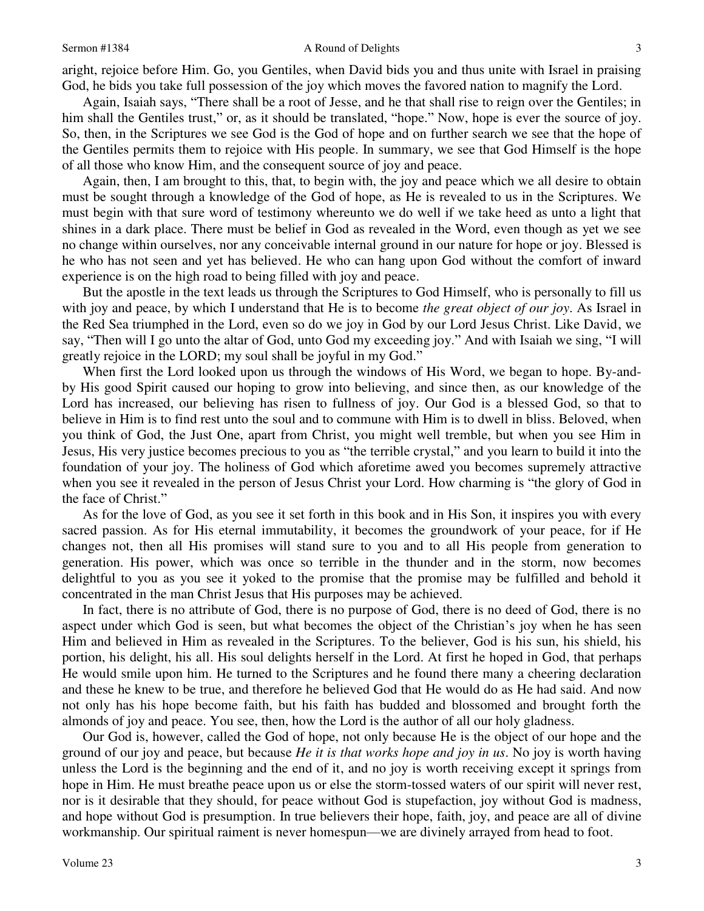aright, rejoice before Him. Go, you Gentiles, when David bids you and thus unite with Israel in praising God, he bids you take full possession of the joy which moves the favored nation to magnify the Lord.

Again, Isaiah says, "There shall be a root of Jesse, and he that shall rise to reign over the Gentiles; in him shall the Gentiles trust," or, as it should be translated, "hope." Now, hope is ever the source of joy. So, then, in the Scriptures we see God is the God of hope and on further search we see that the hope of the Gentiles permits them to rejoice with His people. In summary, we see that God Himself is the hope of all those who know Him, and the consequent source of joy and peace.

Again, then, I am brought to this, that, to begin with, the joy and peace which we all desire to obtain must be sought through a knowledge of the God of hope, as He is revealed to us in the Scriptures. We must begin with that sure word of testimony whereunto we do well if we take heed as unto a light that shines in a dark place. There must be belief in God as revealed in the Word, even though as yet we see no change within ourselves, nor any conceivable internal ground in our nature for hope or joy. Blessed is he who has not seen and yet has believed. He who can hang upon God without the comfort of inward experience is on the high road to being filled with joy and peace.

But the apostle in the text leads us through the Scriptures to God Himself, who is personally to fill us with joy and peace, by which I understand that He is to become *the great object of our joy*. As Israel in the Red Sea triumphed in the Lord, even so do we joy in God by our Lord Jesus Christ. Like David, we say, "Then will I go unto the altar of God, unto God my exceeding joy." And with Isaiah we sing, "I will greatly rejoice in the LORD; my soul shall be joyful in my God."

When first the Lord looked upon us through the windows of His Word, we began to hope. By-andby His good Spirit caused our hoping to grow into believing, and since then, as our knowledge of the Lord has increased, our believing has risen to fullness of joy. Our God is a blessed God, so that to believe in Him is to find rest unto the soul and to commune with Him is to dwell in bliss. Beloved, when you think of God, the Just One, apart from Christ, you might well tremble, but when you see Him in Jesus, His very justice becomes precious to you as "the terrible crystal," and you learn to build it into the foundation of your joy. The holiness of God which aforetime awed you becomes supremely attractive when you see it revealed in the person of Jesus Christ your Lord. How charming is "the glory of God in the face of Christ."

As for the love of God, as you see it set forth in this book and in His Son, it inspires you with every sacred passion. As for His eternal immutability, it becomes the groundwork of your peace, for if He changes not, then all His promises will stand sure to you and to all His people from generation to generation. His power, which was once so terrible in the thunder and in the storm, now becomes delightful to you as you see it yoked to the promise that the promise may be fulfilled and behold it concentrated in the man Christ Jesus that His purposes may be achieved.

In fact, there is no attribute of God, there is no purpose of God, there is no deed of God, there is no aspect under which God is seen, but what becomes the object of the Christian's joy when he has seen Him and believed in Him as revealed in the Scriptures. To the believer, God is his sun, his shield, his portion, his delight, his all. His soul delights herself in the Lord. At first he hoped in God, that perhaps He would smile upon him. He turned to the Scriptures and he found there many a cheering declaration and these he knew to be true, and therefore he believed God that He would do as He had said. And now not only has his hope become faith, but his faith has budded and blossomed and brought forth the almonds of joy and peace. You see, then, how the Lord is the author of all our holy gladness.

Our God is, however, called the God of hope, not only because He is the object of our hope and the ground of our joy and peace, but because *He it is that works hope and joy in us*. No joy is worth having unless the Lord is the beginning and the end of it, and no joy is worth receiving except it springs from hope in Him. He must breathe peace upon us or else the storm-tossed waters of our spirit will never rest, nor is it desirable that they should, for peace without God is stupefaction, joy without God is madness, and hope without God is presumption. In true believers their hope, faith, joy, and peace are all of divine workmanship. Our spiritual raiment is never homespun—we are divinely arrayed from head to foot.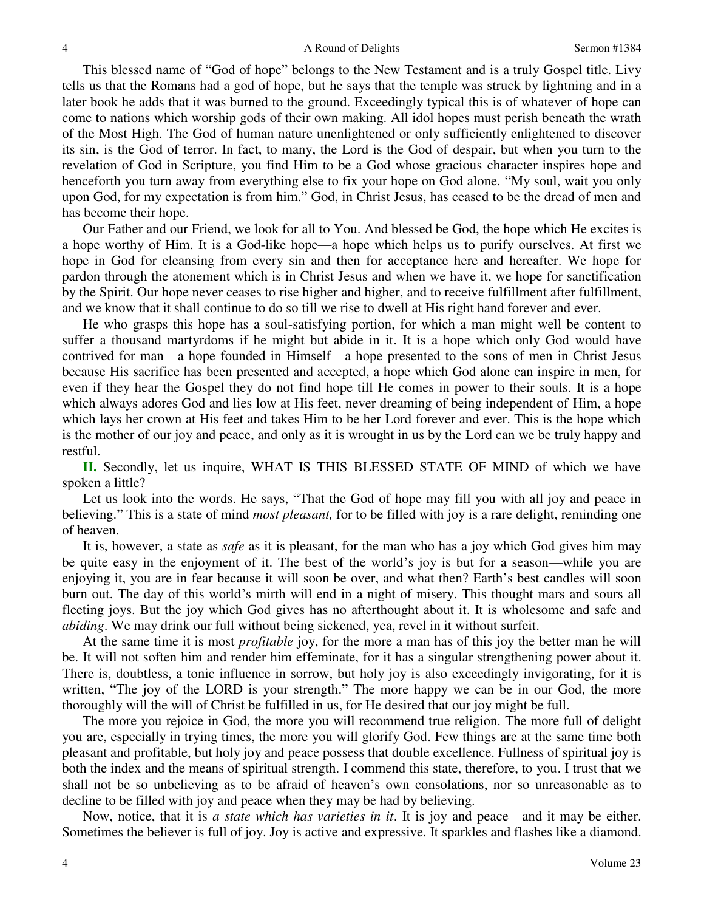This blessed name of "God of hope" belongs to the New Testament and is a truly Gospel title. Livy tells us that the Romans had a god of hope, but he says that the temple was struck by lightning and in a later book he adds that it was burned to the ground. Exceedingly typical this is of whatever of hope can come to nations which worship gods of their own making. All idol hopes must perish beneath the wrath of the Most High. The God of human nature unenlightened or only sufficiently enlightened to discover its sin, is the God of terror. In fact, to many, the Lord is the God of despair, but when you turn to the revelation of God in Scripture, you find Him to be a God whose gracious character inspires hope and henceforth you turn away from everything else to fix your hope on God alone. "My soul, wait you only upon God, for my expectation is from him." God, in Christ Jesus, has ceased to be the dread of men and has become their hope.

Our Father and our Friend, we look for all to You. And blessed be God, the hope which He excites is a hope worthy of Him. It is a God-like hope—a hope which helps us to purify ourselves. At first we hope in God for cleansing from every sin and then for acceptance here and hereafter. We hope for pardon through the atonement which is in Christ Jesus and when we have it, we hope for sanctification by the Spirit. Our hope never ceases to rise higher and higher, and to receive fulfillment after fulfillment, and we know that it shall continue to do so till we rise to dwell at His right hand forever and ever.

He who grasps this hope has a soul-satisfying portion, for which a man might well be content to suffer a thousand martyrdoms if he might but abide in it. It is a hope which only God would have contrived for man—a hope founded in Himself—a hope presented to the sons of men in Christ Jesus because His sacrifice has been presented and accepted, a hope which God alone can inspire in men, for even if they hear the Gospel they do not find hope till He comes in power to their souls. It is a hope which always adores God and lies low at His feet, never dreaming of being independent of Him, a hope which lays her crown at His feet and takes Him to be her Lord forever and ever. This is the hope which is the mother of our joy and peace, and only as it is wrought in us by the Lord can we be truly happy and restful.

**II.** Secondly, let us inquire, WHAT IS THIS BLESSED STATE OF MIND of which we have spoken a little?

Let us look into the words. He says, "That the God of hope may fill you with all joy and peace in believing." This is a state of mind *most pleasant,* for to be filled with joy is a rare delight, reminding one of heaven.

It is, however, a state as *safe* as it is pleasant, for the man who has a joy which God gives him may be quite easy in the enjoyment of it. The best of the world's joy is but for a season—while you are enjoying it, you are in fear because it will soon be over, and what then? Earth's best candles will soon burn out. The day of this world's mirth will end in a night of misery. This thought mars and sours all fleeting joys. But the joy which God gives has no afterthought about it. It is wholesome and safe and *abiding*. We may drink our full without being sickened, yea, revel in it without surfeit.

At the same time it is most *profitable* joy, for the more a man has of this joy the better man he will be. It will not soften him and render him effeminate, for it has a singular strengthening power about it. There is, doubtless, a tonic influence in sorrow, but holy joy is also exceedingly invigorating, for it is written, "The joy of the LORD is your strength." The more happy we can be in our God, the more thoroughly will the will of Christ be fulfilled in us, for He desired that our joy might be full.

The more you rejoice in God, the more you will recommend true religion. The more full of delight you are, especially in trying times, the more you will glorify God. Few things are at the same time both pleasant and profitable, but holy joy and peace possess that double excellence. Fullness of spiritual joy is both the index and the means of spiritual strength. I commend this state, therefore, to you. I trust that we shall not be so unbelieving as to be afraid of heaven's own consolations, nor so unreasonable as to decline to be filled with joy and peace when they may be had by believing.

Now, notice, that it is *a state which has varieties in it*. It is joy and peace—and it may be either. Sometimes the believer is full of joy. Joy is active and expressive. It sparkles and flashes like a diamond.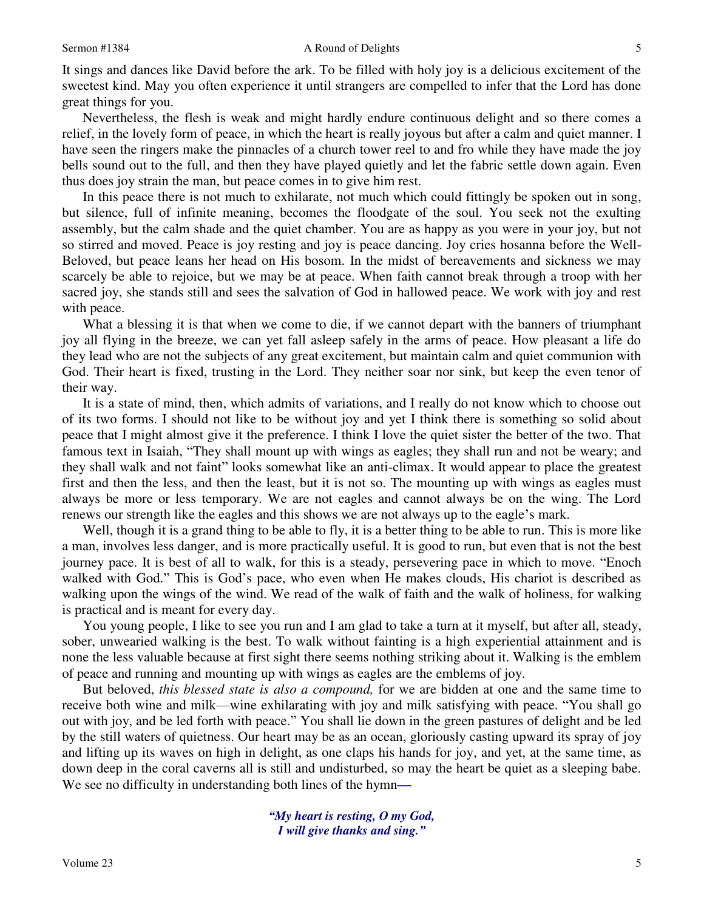It sings and dances like David before the ark. To be filled with holy joy is a delicious excitement of the sweetest kind. May you often experience it until strangers are compelled to infer that the Lord has done great things for you.

Nevertheless, the flesh is weak and might hardly endure continuous delight and so there comes a relief, in the lovely form of peace, in which the heart is really joyous but after a calm and quiet manner. I have seen the ringers make the pinnacles of a church tower reel to and fro while they have made the joy bells sound out to the full, and then they have played quietly and let the fabric settle down again. Even thus does joy strain the man, but peace comes in to give him rest.

In this peace there is not much to exhilarate, not much which could fittingly be spoken out in song, but silence, full of infinite meaning, becomes the floodgate of the soul. You seek not the exulting assembly, but the calm shade and the quiet chamber. You are as happy as you were in your joy, but not so stirred and moved. Peace is joy resting and joy is peace dancing. Joy cries hosanna before the Well-Beloved, but peace leans her head on His bosom. In the midst of bereavements and sickness we may scarcely be able to rejoice, but we may be at peace. When faith cannot break through a troop with her sacred joy, she stands still and sees the salvation of God in hallowed peace. We work with joy and rest with peace.

What a blessing it is that when we come to die, if we cannot depart with the banners of triumphant joy all flying in the breeze, we can yet fall asleep safely in the arms of peace. How pleasant a life do they lead who are not the subjects of any great excitement, but maintain calm and quiet communion with God. Their heart is fixed, trusting in the Lord. They neither soar nor sink, but keep the even tenor of their way.

It is a state of mind, then, which admits of variations, and I really do not know which to choose out of its two forms. I should not like to be without joy and yet I think there is something so solid about peace that I might almost give it the preference. I think I love the quiet sister the better of the two. That famous text in Isaiah, "They shall mount up with wings as eagles; they shall run and not be weary; and they shall walk and not faint" looks somewhat like an anti-climax. It would appear to place the greatest first and then the less, and then the least, but it is not so. The mounting up with wings as eagles must always be more or less temporary. We are not eagles and cannot always be on the wing. The Lord renews our strength like the eagles and this shows we are not always up to the eagle's mark.

Well, though it is a grand thing to be able to fly, it is a better thing to be able to run. This is more like a man, involves less danger, and is more practically useful. It is good to run, but even that is not the best journey pace. It is best of all to walk, for this is a steady, persevering pace in which to move. "Enoch walked with God." This is God's pace, who even when He makes clouds, His chariot is described as walking upon the wings of the wind. We read of the walk of faith and the walk of holiness, for walking is practical and is meant for every day.

You young people, I like to see you run and I am glad to take a turn at it myself, but after all, steady, sober, unwearied walking is the best. To walk without fainting is a high experiential attainment and is none the less valuable because at first sight there seems nothing striking about it. Walking is the emblem of peace and running and mounting up with wings as eagles are the emblems of joy.

But beloved, *this blessed state is also a compound,* for we are bidden at one and the same time to receive both wine and milk—wine exhilarating with joy and milk satisfying with peace. "You shall go out with joy, and be led forth with peace." You shall lie down in the green pastures of delight and be led by the still waters of quietness. Our heart may be as an ocean, gloriously casting upward its spray of joy and lifting up its waves on high in delight, as one claps his hands for joy, and yet, at the same time, as down deep in the coral caverns all is still and undisturbed, so may the heart be quiet as a sleeping babe. We see no difficulty in understanding both lines of the hymn*—*

> *"My heart is resting, O my God, I will give thanks and sing."*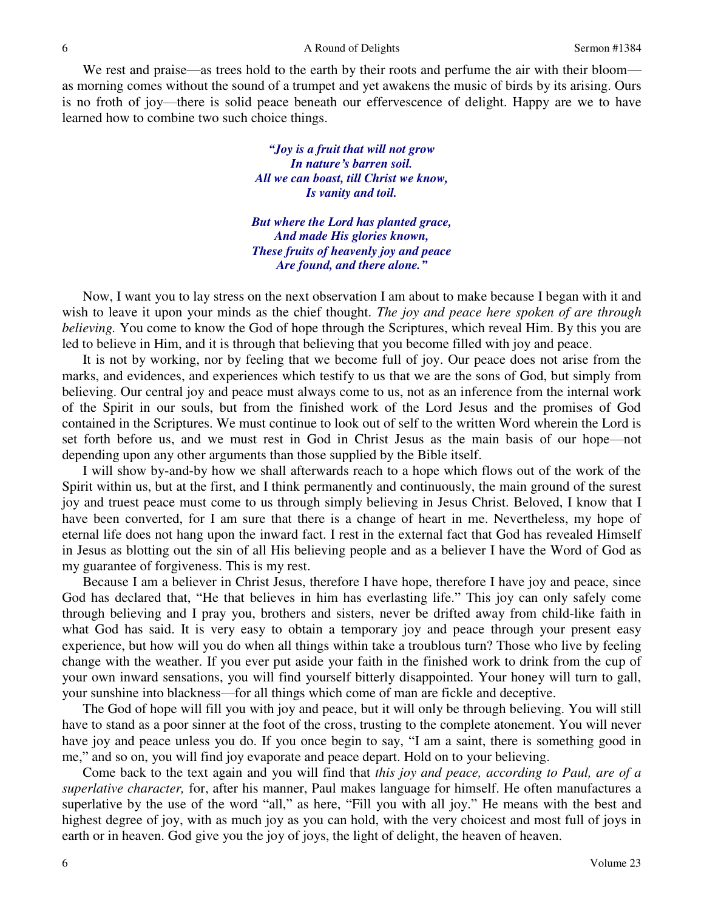We rest and praise—as trees hold to the earth by their roots and perfume the air with their bloom as morning comes without the sound of a trumpet and yet awakens the music of birds by its arising. Ours is no froth of joy—there is solid peace beneath our effervescence of delight. Happy are we to have learned how to combine two such choice things.

> *"Joy is a fruit that will not grow In nature's barren soil. All we can boast, till Christ we know, Is vanity and toil.*

*But where the Lord has planted grace, And made His glories known, These fruits of heavenly joy and peace Are found, and there alone."*

Now, I want you to lay stress on the next observation I am about to make because I began with it and wish to leave it upon your minds as the chief thought. *The joy and peace here spoken of are through believing.* You come to know the God of hope through the Scriptures, which reveal Him. By this you are led to believe in Him, and it is through that believing that you become filled with joy and peace.

It is not by working, nor by feeling that we become full of joy. Our peace does not arise from the marks, and evidences, and experiences which testify to us that we are the sons of God, but simply from believing. Our central joy and peace must always come to us, not as an inference from the internal work of the Spirit in our souls, but from the finished work of the Lord Jesus and the promises of God contained in the Scriptures. We must continue to look out of self to the written Word wherein the Lord is set forth before us, and we must rest in God in Christ Jesus as the main basis of our hope—not depending upon any other arguments than those supplied by the Bible itself.

I will show by-and-by how we shall afterwards reach to a hope which flows out of the work of the Spirit within us, but at the first, and I think permanently and continuously, the main ground of the surest joy and truest peace must come to us through simply believing in Jesus Christ. Beloved, I know that I have been converted, for I am sure that there is a change of heart in me. Nevertheless, my hope of eternal life does not hang upon the inward fact. I rest in the external fact that God has revealed Himself in Jesus as blotting out the sin of all His believing people and as a believer I have the Word of God as my guarantee of forgiveness. This is my rest.

Because I am a believer in Christ Jesus, therefore I have hope, therefore I have joy and peace, since God has declared that, "He that believes in him has everlasting life." This joy can only safely come through believing and I pray you, brothers and sisters, never be drifted away from child-like faith in what God has said. It is very easy to obtain a temporary joy and peace through your present easy experience, but how will you do when all things within take a troublous turn? Those who live by feeling change with the weather. If you ever put aside your faith in the finished work to drink from the cup of your own inward sensations, you will find yourself bitterly disappointed. Your honey will turn to gall, your sunshine into blackness—for all things which come of man are fickle and deceptive.

The God of hope will fill you with joy and peace, but it will only be through believing. You will still have to stand as a poor sinner at the foot of the cross, trusting to the complete atonement. You will never have joy and peace unless you do. If you once begin to say, "I am a saint, there is something good in me," and so on, you will find joy evaporate and peace depart. Hold on to your believing.

Come back to the text again and you will find that *this joy and peace, according to Paul, are of a superlative character,* for, after his manner, Paul makes language for himself. He often manufactures a superlative by the use of the word "all," as here, "Fill you with all joy." He means with the best and highest degree of joy, with as much joy as you can hold, with the very choicest and most full of joys in earth or in heaven. God give you the joy of joys, the light of delight, the heaven of heaven.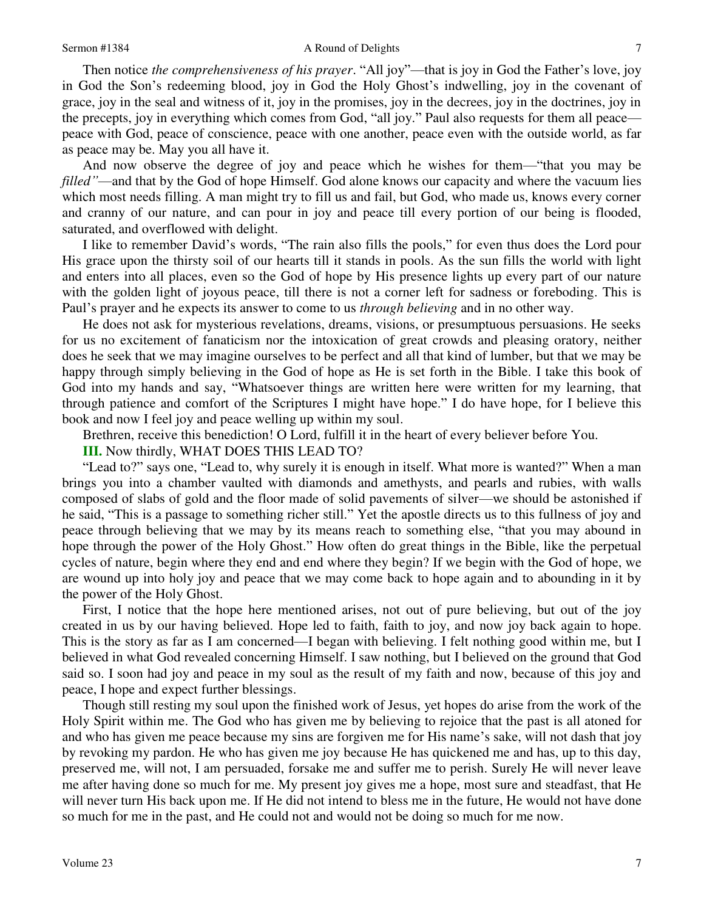Then notice *the comprehensiveness of his prayer*. "All joy"—that is joy in God the Father's love, joy in God the Son's redeeming blood, joy in God the Holy Ghost's indwelling, joy in the covenant of grace, joy in the seal and witness of it, joy in the promises, joy in the decrees, joy in the doctrines, joy in the precepts, joy in everything which comes from God, "all joy." Paul also requests for them all peace peace with God, peace of conscience, peace with one another, peace even with the outside world, as far as peace may be. May you all have it.

And now observe the degree of joy and peace which he wishes for them—"that you may be *filled"*—and that by the God of hope Himself. God alone knows our capacity and where the vacuum lies which most needs filling. A man might try to fill us and fail, but God, who made us, knows every corner and cranny of our nature, and can pour in joy and peace till every portion of our being is flooded, saturated, and overflowed with delight.

I like to remember David's words, "The rain also fills the pools," for even thus does the Lord pour His grace upon the thirsty soil of our hearts till it stands in pools. As the sun fills the world with light and enters into all places, even so the God of hope by His presence lights up every part of our nature with the golden light of joyous peace, till there is not a corner left for sadness or foreboding. This is Paul's prayer and he expects its answer to come to us *through believing* and in no other way.

He does not ask for mysterious revelations, dreams, visions, or presumptuous persuasions. He seeks for us no excitement of fanaticism nor the intoxication of great crowds and pleasing oratory, neither does he seek that we may imagine ourselves to be perfect and all that kind of lumber, but that we may be happy through simply believing in the God of hope as He is set forth in the Bible. I take this book of God into my hands and say, "Whatsoever things are written here were written for my learning, that through patience and comfort of the Scriptures I might have hope." I do have hope, for I believe this book and now I feel joy and peace welling up within my soul.

Brethren, receive this benediction! O Lord, fulfill it in the heart of every believer before You.

**III.** Now thirdly, WHAT DOES THIS LEAD TO?

"Lead to?" says one, "Lead to, why surely it is enough in itself. What more is wanted?" When a man brings you into a chamber vaulted with diamonds and amethysts, and pearls and rubies, with walls composed of slabs of gold and the floor made of solid pavements of silver—we should be astonished if he said, "This is a passage to something richer still." Yet the apostle directs us to this fullness of joy and peace through believing that we may by its means reach to something else, "that you may abound in hope through the power of the Holy Ghost." How often do great things in the Bible, like the perpetual cycles of nature, begin where they end and end where they begin? If we begin with the God of hope, we are wound up into holy joy and peace that we may come back to hope again and to abounding in it by the power of the Holy Ghost.

First, I notice that the hope here mentioned arises, not out of pure believing, but out of the joy created in us by our having believed. Hope led to faith, faith to joy, and now joy back again to hope. This is the story as far as I am concerned—I began with believing. I felt nothing good within me, but I believed in what God revealed concerning Himself. I saw nothing, but I believed on the ground that God said so. I soon had joy and peace in my soul as the result of my faith and now, because of this joy and peace, I hope and expect further blessings.

Though still resting my soul upon the finished work of Jesus, yet hopes do arise from the work of the Holy Spirit within me. The God who has given me by believing to rejoice that the past is all atoned for and who has given me peace because my sins are forgiven me for His name's sake, will not dash that joy by revoking my pardon. He who has given me joy because He has quickened me and has, up to this day, preserved me, will not, I am persuaded, forsake me and suffer me to perish. Surely He will never leave me after having done so much for me. My present joy gives me a hope, most sure and steadfast, that He will never turn His back upon me. If He did not intend to bless me in the future, He would not have done so much for me in the past, and He could not and would not be doing so much for me now.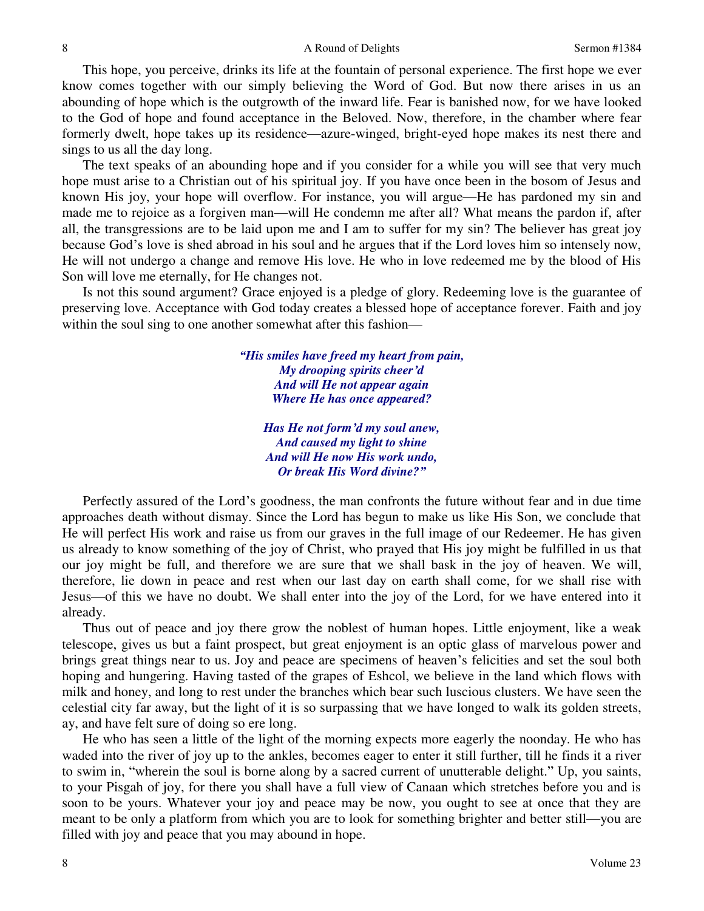This hope, you perceive, drinks its life at the fountain of personal experience. The first hope we ever know comes together with our simply believing the Word of God. But now there arises in us an abounding of hope which is the outgrowth of the inward life. Fear is banished now, for we have looked to the God of hope and found acceptance in the Beloved. Now, therefore, in the chamber where fear formerly dwelt, hope takes up its residence—azure-winged, bright-eyed hope makes its nest there and sings to us all the day long.

The text speaks of an abounding hope and if you consider for a while you will see that very much hope must arise to a Christian out of his spiritual joy. If you have once been in the bosom of Jesus and known His joy, your hope will overflow. For instance, you will argue—He has pardoned my sin and made me to rejoice as a forgiven man—will He condemn me after all? What means the pardon if, after all, the transgressions are to be laid upon me and I am to suffer for my sin? The believer has great joy because God's love is shed abroad in his soul and he argues that if the Lord loves him so intensely now, He will not undergo a change and remove His love. He who in love redeemed me by the blood of His Son will love me eternally, for He changes not.

Is not this sound argument? Grace enjoyed is a pledge of glory. Redeeming love is the guarantee of preserving love. Acceptance with God today creates a blessed hope of acceptance forever. Faith and joy within the soul sing to one another somewhat after this fashion—

> *"His smiles have freed my heart from pain, My drooping spirits cheer'd And will He not appear again Where He has once appeared?*

*Has He not form'd my soul anew, And caused my light to shine And will He now His work undo, Or break His Word divine?"*

Perfectly assured of the Lord's goodness, the man confronts the future without fear and in due time approaches death without dismay. Since the Lord has begun to make us like His Son, we conclude that He will perfect His work and raise us from our graves in the full image of our Redeemer. He has given us already to know something of the joy of Christ, who prayed that His joy might be fulfilled in us that our joy might be full, and therefore we are sure that we shall bask in the joy of heaven. We will, therefore, lie down in peace and rest when our last day on earth shall come, for we shall rise with Jesus—of this we have no doubt. We shall enter into the joy of the Lord, for we have entered into it already.

Thus out of peace and joy there grow the noblest of human hopes. Little enjoyment, like a weak telescope, gives us but a faint prospect, but great enjoyment is an optic glass of marvelous power and brings great things near to us. Joy and peace are specimens of heaven's felicities and set the soul both hoping and hungering. Having tasted of the grapes of Eshcol, we believe in the land which flows with milk and honey, and long to rest under the branches which bear such luscious clusters. We have seen the celestial city far away, but the light of it is so surpassing that we have longed to walk its golden streets, ay, and have felt sure of doing so ere long.

He who has seen a little of the light of the morning expects more eagerly the noonday. He who has waded into the river of joy up to the ankles, becomes eager to enter it still further, till he finds it a river to swim in, "wherein the soul is borne along by a sacred current of unutterable delight." Up, you saints, to your Pisgah of joy, for there you shall have a full view of Canaan which stretches before you and is soon to be yours. Whatever your joy and peace may be now, you ought to see at once that they are meant to be only a platform from which you are to look for something brighter and better still—you are filled with joy and peace that you may abound in hope.

8